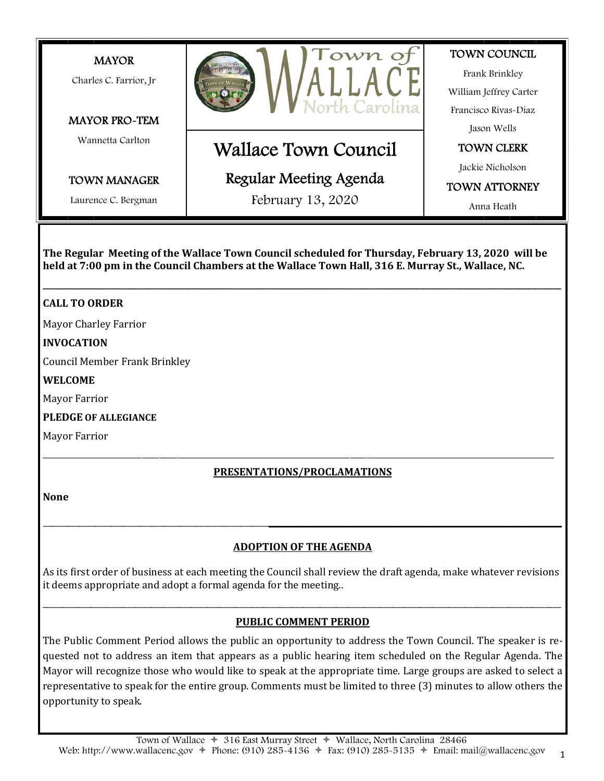

**The Regular Meeting of the Wallace Town Council scheduled for Thursday, February 13, 2020 will be held at 7:00 pm in the Council Chambers at the Wallace Town Hall, 316 E. Murray St., Wallace, NC.**

**\_\_\_\_\_\_\_\_\_\_\_\_\_\_\_\_\_\_\_\_\_\_\_\_\_\_\_\_\_\_\_\_\_\_\_\_\_\_\_\_\_\_\_\_\_\_\_\_\_\_\_\_\_\_\_\_\_\_\_\_\_\_\_\_\_\_\_\_\_\_\_\_\_\_\_\_\_\_\_\_\_\_\_\_\_\_\_\_\_\_\_\_\_\_\_\_\_\_\_\_\_\_\_\_\_\_\_\_\_\_\_\_\_\_\_\_\_\_\_\_\_\_\_\_\_\_\_\_\_**

# **CALL TO ORDER**

Mayor Charley Farrior

# **INVOCATION**

Council Member Frank Brinkley

### **WELCOME**

Mayor Farrior

# **PLEDGE OF ALLEGIANCE**

Mayor Farrior

# \_\_\_\_\_\_\_\_\_\_\_\_\_\_\_\_\_\_\_\_\_\_\_\_\_\_\_\_\_\_\_\_\_\_\_\_\_\_\_\_\_\_\_\_\_\_\_\_\_\_\_\_\_\_\_\_\_\_\_\_\_\_\_\_\_\_\_\_\_\_\_\_\_\_\_\_\_\_\_\_\_\_\_\_\_\_\_\_\_\_\_\_\_\_\_\_\_\_\_\_\_\_\_\_\_\_\_\_\_\_\_\_\_\_\_\_\_\_\_\_\_\_\_\_\_\_\_\_\_\_\_\_\_\_\_\_\_\_\_\_ **PRESENTATIONS/PROCLAMATIONS**

**None**

# **ADOPTION OF THE AGENDA**

\_\_\_\_\_\_\_\_\_\_\_\_\_\_\_\_\_\_\_\_\_\_\_\_\_\_\_\_\_\_\_\_\_\_\_\_\_\_\_\_\_\_\_\_\_\_\_\_\_\_\_\_\_\_\_\_**\_\_\_\_\_\_\_\_\_\_\_\_\_\_\_\_\_\_\_\_\_\_\_\_\_\_\_\_\_\_\_\_\_\_\_\_\_\_\_\_\_\_\_\_\_\_\_\_\_\_\_\_\_\_\_\_\_\_\_\_\_\_\_\_\_\_\_\_\_\_\_\_\_**

As its irst order of business at each meeting the Council shall review the draft agenda, make whatever revisions it deems appropriate and adopt a formal agenda for the meeting..

# \_\_\_\_\_\_\_\_\_\_\_\_\_\_\_\_\_\_\_\_\_\_\_\_\_\_\_\_\_\_\_\_\_\_\_\_\_\_\_\_\_\_\_\_\_\_\_\_\_\_\_\_\_\_\_\_\_\_\_\_\_\_\_\_\_\_\_\_\_\_\_\_\_\_\_\_\_\_\_\_\_\_\_\_\_\_\_\_\_\_\_\_\_\_\_\_\_\_\_\_\_\_\_\_\_\_\_\_\_\_\_\_\_\_\_\_\_\_\_\_\_\_\_\_\_\_\_\_\_ **PUBLIC COMMENT PERIOD**

The Public Comment Period allows the public an opportunity to address the Town Council. The speaker is requested not to address an item that appears as a public hearing item scheduled on the Regular Agenda. The Mayor will recognize those who would like to speak at the appropriate time. Large groups are asked to select a representative to speak for the entire group. Comments must be limited to three (3) minutes to allow others the opportunity to speak.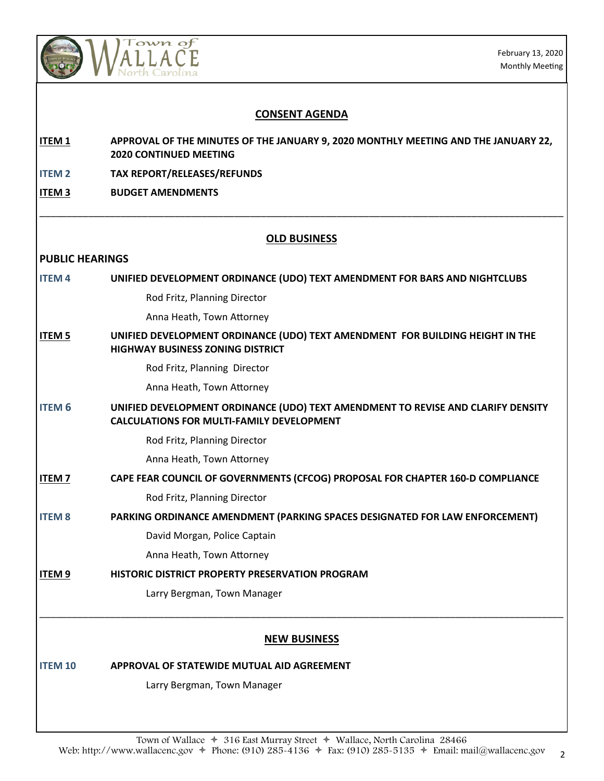

February 13, 2020 Monthly Meeting

| <b>CONSENT AGENDA</b>  |                                                                                                                                      |
|------------------------|--------------------------------------------------------------------------------------------------------------------------------------|
| <b>ITEM1</b>           | APPROVAL OF THE MINUTES OF THE JANUARY 9, 2020 MONTHLY MEETING AND THE JANUARY 22,<br><b>2020 CONTINUED MEETING</b>                  |
| <b>ITEM2</b>           | <b>TAX REPORT/RELEASES/REFUNDS</b>                                                                                                   |
| ITEM <sub>3</sub>      | <b>BUDGET AMENDMENTS</b>                                                                                                             |
|                        | <b>OLD BUSINESS</b>                                                                                                                  |
| <b>PUBLIC HEARINGS</b> |                                                                                                                                      |
| <b>ITEM4</b>           | UNIFIED DEVELOPMENT ORDINANCE (UDO) TEXT AMENDMENT FOR BARS AND NIGHTCLUBS                                                           |
|                        | Rod Fritz, Planning Director                                                                                                         |
|                        | Anna Heath, Town Attorney                                                                                                            |
| <b>ITEM 5</b>          | UNIFIED DEVELOPMENT ORDINANCE (UDO) TEXT AMENDMENT FOR BUILDING HEIGHT IN THE<br><b>HIGHWAY BUSINESS ZONING DISTRICT</b>             |
|                        | Rod Fritz, Planning Director                                                                                                         |
|                        | Anna Heath, Town Attorney                                                                                                            |
| <b>ITEM 6</b>          | UNIFIED DEVELOPMENT ORDINANCE (UDO) TEXT AMENDMENT TO REVISE AND CLARIFY DENSITY<br><b>CALCULATIONS FOR MULTI-FAMILY DEVELOPMENT</b> |
|                        | Rod Fritz, Planning Director                                                                                                         |
|                        | Anna Heath, Town Attorney                                                                                                            |
| <b>ITEM7</b>           | CAPE FEAR COUNCIL OF GOVERNMENTS (CFCOG) PROPOSAL FOR CHAPTER 160-D COMPLIANCE                                                       |
|                        | Rod Fritz, Planning Director                                                                                                         |
| <b>ITEM8</b>           | PARKING ORDINANCE AMENDMENT (PARKING SPACES DESIGNATED FOR LAW ENFORCEMENT)                                                          |
|                        | David Morgan, Police Captain                                                                                                         |
|                        | Anna Heath, Town Attorney                                                                                                            |
| ITEM <sub>9</sub>      | HISTORIC DISTRICT PROPERTY PRESERVATION PROGRAM                                                                                      |
|                        | Larry Bergman, Town Manager                                                                                                          |
|                        | <b>NEW BUSINESS</b>                                                                                                                  |
| <b>ITEM 10</b>         | APPROVAL OF STATEWIDE MUTUAL AID AGREEMENT                                                                                           |
|                        | Larry Bergman, Town Manager                                                                                                          |
|                        |                                                                                                                                      |